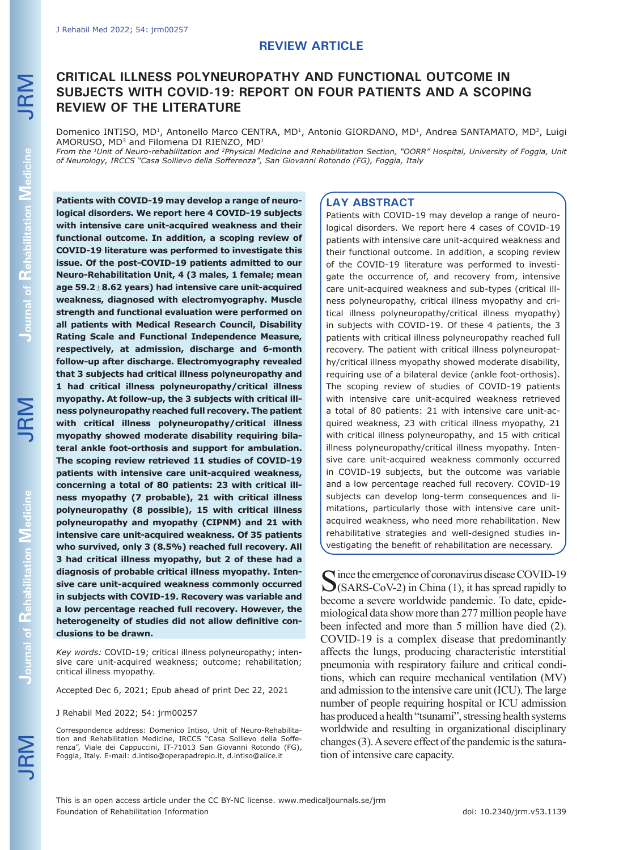# **CRITICAL ILLNESS POLYNEUROPATHY AND FUNCTIONAL OUTCOME IN SUBJECTS WITH COVID-19: REPORT ON FOUR PATIENTS AND A SCOPING REVIEW OF THE LITERATURE**

Domenico INTISO, MD<sup>1</sup>, Antonello Marco CENTRA, MD<sup>1</sup>, Antonio GIORDANO, MD<sup>1</sup>, Andrea SANTAMATO, MD<sup>2</sup>, Luigi AMORUSO, MD3 and Filomena DI RIENZO, MD1

*From the 1Unit of Neuro-rehabilitation and 2Physical Medicine and Rehabilitation Section, "OORR" Hospital, University of Foggia, Unit of Neurology, IRCCS "Casa Sollievo della Sofferenza", San Giovanni Rotondo (FG), Foggia, Italy*

**Patients with COVID-19 may develop a range of neurological disorders. We report here 4 COVID-19 subjects with intensive care unit-acquired weakness and their functional outcome. In addition, a scoping review of COVID-19 literature was performed to investigate this issue. Of the post-COVID-19 patients admitted to our Neuro-Rehabilitation Unit, 4 (3 males, 1 female; mean age 59.2**±**8.62 years) had intensive care unit-acquired weakness, diagnosed with electromyography. Muscle strength and functional evaluation were performed on all patients with Medical Research Council, Disability Rating Scale and Functional Independence Measure, respectively, at admission, discharge and 6-month follow-up after discharge. Electromyography revealed that 3 subjects had critical illness polyneuropathy and 1 had critical illness polyneuropathy/critical illness myopathy. At follow-up, the 3 subjects with critical illness polyneuropathy reached full recovery. The patient with critical illness polyneuropathy/critical illness myopathy showed moderate disability requiring bilateral ankle foot-orthosis and support for ambulation. The scoping review retrieved 11 studies of COVID-19 patients with intensive care unit-acquired weakness, concerning a total of 80 patients: 23 with critical illness myopathy (7 probable), 21 with critical illness polyneuropathy (8 possible), 15 with critical illness polyneuropathy and myopathy (CIPNM) and 21 with intensive care unit-acquired weakness. Of 35 patients who survived, only 3 (8.5%) reached full recovery. All 3 had critical illness myopathy, but 2 of these had a diagnosis of probable critical illness myopathy. Intensive care unit-acquired weakness commonly occurred in subjects with COVID-19. Recovery was variable and a low percentage reached full recovery. However, the heterogeneity of studies did not allow definitive conclusions to be drawn.**

*Key words:* COVID-19; critical illness polyneuropathy; intensive care unit-acquired weakness; outcome; rehabilitation; critical illness myopathy.

Accepted Dec 6, 2021; Epub ahead of print Dec 22, 2021

J Rehabil Med 2022; 54: jrm00257

Correspondence address: Domenico Intiso, Unit of Neuro-Rehabilitation and Rehabilitation Medicine, IRCCS "Casa Sollievo della Sofferenza", Viale dei Cappuccini, IT-71013 San Giovanni Rotondo (FG), Foggia, Italy. E-mail: d.intiso@operapadrepio.it, d.intiso@alice.it

#### **LAY ABSTRACT**

Patients with COVID-19 may develop a range of neurological disorders. We report here 4 cases of COVID-19 patients with intensive care unit-acquired weakness and their functional outcome. In addition, a scoping review of the COVID-19 literature was performed to investigate the occurrence of, and recovery from, intensive care unit-acquired weakness and sub-types (critical illness polyneuropathy, critical illness myopathy and critical illness polyneuropathy/critical illness myopathy) in subjects with COVID-19. Of these 4 patients, the 3 patients with critical illness polyneuropathy reached full recovery. The patient with critical illness polyneuropathy/critical illness myopathy showed moderate disability, requiring use of a bilateral device (ankle foot-orthosis). The scoping review of studies of COVID-19 patients with intensive care unit-acquired weakness retrieved a total of 80 patients: 21 with intensive care unit-acquired weakness, 23 with critical illness myopathy, 21 with critical illness polyneuropathy, and 15 with critical illness polyneuropathy/critical illness myopathy. Intensive care unit-acquired weakness commonly occurred in COVID-19 subjects, but the outcome was variable and a low percentage reached full recovery. COVID-19 subjects can develop long-term consequences and limitations, particularly those with intensive care unitacquired weakness, who need more rehabilitation. New rehabilitative strategies and well-designed studies investigating the benefit of rehabilitation are necessary.

Since the emergence of coronavirus disease COVID-19<br>(SARS-CoV-2) in China (1), it has spread rapidly to become a severe worldwide pandemic. To date, epidemiological data show more than 277 million people have been infected and more than 5 million have died (2). COVID-19 is a complex disease that predominantly affects the lungs, producing characteristic interstitial pneumonia with respiratory failure and critical conditions, which can require mechanical ventilation (MV) and admission to the intensive care unit (ICU). The large number of people requiring hospital or ICU admission has produced a health "tsunami", stressing health systems worldwide and resulting in organizational disciplinary changes (3). A severe effect of the pandemic is the saturation of intensive care capacity.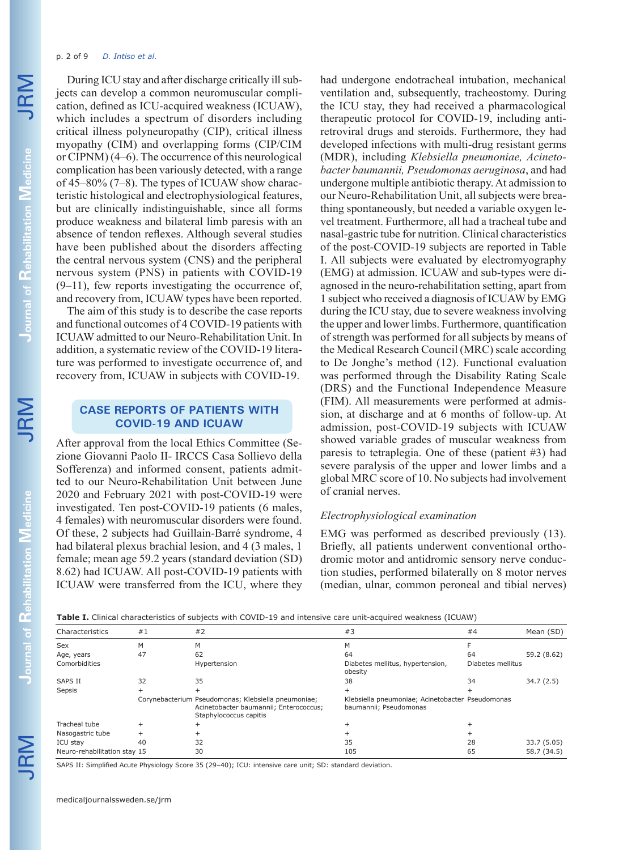#### p. 2 of 9 *D. Intiso et al.*

During ICU stay and after discharge critically ill subjects can develop a common neuromuscular complication, defined as ICU-acquired weakness (ICUAW), which includes a spectrum of disorders including critical illness polyneuropathy (CIP), critical illness myopathy (CIM) and overlapping forms (CIP/CIM or CIPNM) (4–6). The occurrence of this neurological complication has been variously detected, with a range of 45–80% (7–8). The types of ICUAW show characteristic histological and electrophysiological features, but are clinically indistinguishable, since all forms produce weakness and bilateral limb paresis with an absence of tendon reflexes. Although several studies have been published about the disorders affecting the central nervous system (CNS) and the peripheral nervous system (PNS) in patients with COVID-19 (9–11), few reports investigating the occurrence of, and recovery from, ICUAW types have been reported.

The aim of this study is to describe the case reports and functional outcomes of 4 COVID-19 patients with ICUAW admitted to our Neuro-Rehabilitation Unit. In addition, a systematic review of the COVID-19 literature was performed to investigate occurrence of, and recovery from, ICUAW in subjects with COVID-19.

## **CASE REPORTS OF PATIENTS WITH COVID-19 AND ICUAW**

After approval from the local Ethics Committee (Sezione Giovanni Paolo II- IRCCS Casa Sollievo della Sofferenza) and informed consent, patients admitted to our Neuro-Rehabilitation Unit between June 2020 and February 2021 with post-COVID-19 were investigated. Ten post-COVID-19 patients (6 males, 4 females) with neuromuscular disorders were found. Of these, 2 subjects had Guillain-Barré syndrome, 4 had bilateral plexus brachial lesion, and 4 (3 males, 1 female; mean age 59.2 years (standard deviation (SD) 8.62) had ICUAW. All post-COVID-19 patients with ICUAW were transferred from the ICU, where they had undergone endotracheal intubation, mechanical ventilation and, subsequently, tracheostomy. During the ICU stay, they had received a pharmacological therapeutic protocol for COVID-19, including antiretroviral drugs and steroids. Furthermore, they had developed infections with multi-drug resistant germs (MDR), including *Klebsiella pneumoniae, Acinetobacter baumannii, Pseudomonas aeruginosa*, and had undergone multiple antibiotic therapy. At admission to our Neuro-Rehabilitation Unit, all subjects were breathing spontaneously, but needed a variable oxygen level treatment. Furthermore, all had a tracheal tube and nasal-gastric tube for nutrition. Clinical characteristics of the post-COVID-19 subjects are reported in Table I. All subjects were evaluated by electromyography (EMG) at admission. ICUAW and sub-types were diagnosed in the neuro-rehabilitation setting, apart from 1 subject who received a diagnosis of ICUAW by EMG during the ICU stay, due to severe weakness involving the upper and lower limbs. Furthermore, quantification of strength was performed for all subjects by means of the Medical Research Council (MRC) scale according to De Jonghe's method (12). Functional evaluation was performed through the Disability Rating Scale (DRS) and the Functional Independence Measure (FIM). All measurements were performed at admission, at discharge and at 6 months of follow-up. At admission, post-COVID-19 subjects with ICUAW showed variable grades of muscular weakness from paresis to tetraplegia. One of these (patient #3) had severe paralysis of the upper and lower limbs and a global MRC score of 10. No subjects had involvement of cranial nerves.

## *Electrophysiological examination*

EMG was performed as described previously (13). Briefly, all patients underwent conventional orthodromic motor and antidromic sensory nerve conduction studies, performed bilaterally on 8 motor nerves (median, ulnar, common peroneal and tibial nerves)

| Characteristics              | #1 | #2                                                                                                                      | #3                                                                         | #4                | Mean (SD)   |
|------------------------------|----|-------------------------------------------------------------------------------------------------------------------------|----------------------------------------------------------------------------|-------------------|-------------|
| Sex                          | M  | М                                                                                                                       | М                                                                          |                   |             |
| Age, years                   | 47 | 62                                                                                                                      | 64                                                                         | 64                | 59.2 (8.62) |
| Comorbidities                |    | Hypertension                                                                                                            | Diabetes mellitus, hypertension,<br>obesity                                | Diabetes mellitus |             |
| <b>SAPS II</b>               | 32 | 35                                                                                                                      | 38                                                                         | 34                | 34.7(2.5)   |
| Sepsis                       |    |                                                                                                                         |                                                                            |                   |             |
|                              |    | Corynebacterium Pseudomonas; Klebsiella pneumoniae;<br>Acinetobacter baumannii; Enterococcus;<br>Staphylococcus capitis | Klebsiella pneumoniae; Acinetobacter Pseudomonas<br>baumannii; Pseudomonas |                   |             |
| Tracheal tube                |    |                                                                                                                         |                                                                            |                   |             |
| Nasogastric tube             |    |                                                                                                                         |                                                                            |                   |             |
| ICU stav                     | 40 | 32                                                                                                                      | 35                                                                         | 28                | 33.7 (5.05) |
| Neuro-rehabilitation stay 15 |    | 30                                                                                                                      | 105                                                                        | 65                | 58.7 (34.5) |

SAPS II: Simplified Acute Physiology Score 35 (29–40); ICU: intensive care unit; SD: standard deviation.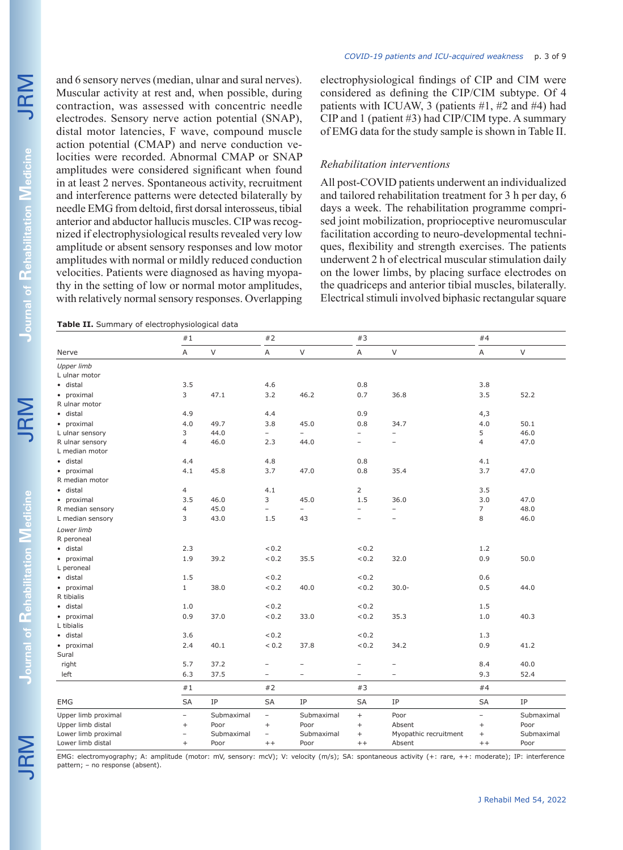**Journal of** 

**Rehabilitation** 

and 6 sensory nerves (median, ulnar and sural nerves). Muscular activity at rest and, when possible, during contraction, was assessed with concentric needle electrodes. Sensory nerve action potential (SNAP), distal motor latencies, F wave, compound muscle action potential (CMAP) and nerve conduction velocities were recorded. Abnormal CMAP or SNAP amplitudes were considered significant when found in at least 2 nerves. Spontaneous activity, recruitment and interference patterns were detected bilaterally by needle EMG from deltoid, first dorsal interosseus, tibial anterior and abductor hallucis muscles. CIP was recognized if electrophysiological results revealed very low amplitude or absent sensory responses and low motor amplitudes with normal or mildly reduced conduction velocities. Patients were diagnosed as having myopathy in the setting of low or normal motor amplitudes, with relatively normal sensory responses. Overlapping

**Table II.** Summary of electrophysiological data

electrophysiological findings of CIP and CIM were considered as defining the CIP/CIM subtype. Of 4 patients with ICUAW, 3 (patients #1, #2 and #4) had CIP and 1 (patient #3) had CIP/CIM type. A summary of EMG data for the study sample is shown in Table II.

#### *Rehabilitation interventions*

All post-COVID patients underwent an individualized and tailored rehabilitation treatment for 3 h per day, 6 days a week. The rehabilitation programme comprised joint mobilization, proprioceptive neuromuscular facilitation according to neuro-developmental techniques, flexibility and strength exercises. The patients underwent 2 h of electrical muscular stimulation daily on the lower limbs, by placing surface electrodes on the quadriceps and anterior tibial muscles, bilaterally. Electrical stimuli involved biphasic rectangular square

| A<br>3.8<br>3.5<br>4,3<br>4.0<br>5 | $\vee$<br>52.2<br>50.1                                                                                             |
|------------------------------------|--------------------------------------------------------------------------------------------------------------------|
|                                    |                                                                                                                    |
|                                    |                                                                                                                    |
|                                    |                                                                                                                    |
|                                    |                                                                                                                    |
|                                    |                                                                                                                    |
|                                    |                                                                                                                    |
|                                    |                                                                                                                    |
|                                    |                                                                                                                    |
|                                    | 46.0                                                                                                               |
| $\overline{4}$                     | 47.0                                                                                                               |
|                                    |                                                                                                                    |
| 4.1                                |                                                                                                                    |
| 3.7                                | 47.0                                                                                                               |
|                                    |                                                                                                                    |
| 3.5                                |                                                                                                                    |
| 3.0                                | 47.0                                                                                                               |
| $\overline{7}$                     | 48.0                                                                                                               |
| 8                                  | 46.0                                                                                                               |
|                                    |                                                                                                                    |
|                                    |                                                                                                                    |
| 1.2                                |                                                                                                                    |
| 0.9                                | 50.0                                                                                                               |
|                                    |                                                                                                                    |
| 0.6                                |                                                                                                                    |
| 0.5                                | 44.0                                                                                                               |
|                                    |                                                                                                                    |
| 1.5                                |                                                                                                                    |
| 1.0                                | 40.3                                                                                                               |
|                                    |                                                                                                                    |
| 1.3                                |                                                                                                                    |
|                                    | 41.2                                                                                                               |
|                                    |                                                                                                                    |
|                                    | 40.0                                                                                                               |
| 9.3                                | 52.4                                                                                                               |
| #4                                 |                                                                                                                    |
| <b>SA</b>                          | IP                                                                                                                 |
|                                    | Submaximal                                                                                                         |
|                                    | Poor                                                                                                               |
|                                    | Submaximal                                                                                                         |
|                                    | Poor                                                                                                               |
|                                    | 0.9<br>8.4<br>$\overline{\phantom{0}}$<br>$\qquad \qquad +$<br>Myopathic recruitment<br>$\qquad \qquad +$<br>$+ +$ |

EMG: electromyography; A: amplitude (motor: mV, sensory: mcV); V: velocity (m/s); SA: spontaneous activity (+: rare, ++: moderate); IP: interference pattern; – no response (absent).

**Journal of** 

**Rehabilitation**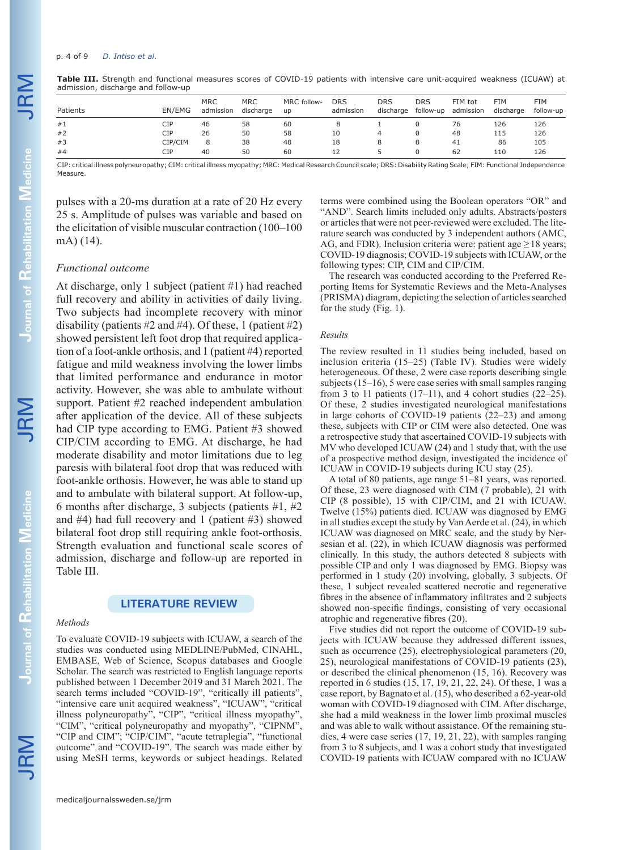#### p. 4 of 9 *D. Intiso et al.*

| Patients | EN/EMG  | <b>MRC</b><br>admission | <b>MRC</b><br>discharge | MRC follow-<br><b>up</b> | <b>DRS</b><br>admission | <b>DRS</b><br>discharge | <b>DRS</b><br>follow-up | FIM tot<br>admission | FIM<br>discharge | FIM<br>follow-up |
|----------|---------|-------------------------|-------------------------|--------------------------|-------------------------|-------------------------|-------------------------|----------------------|------------------|------------------|
| #1       | CIP     | 46                      | 58                      | 60                       |                         |                         |                         | 76                   | 126              | 126              |
| #2       | CIP     | 26                      | 50                      | 58                       | 10                      |                         |                         | 48                   | 115              | 126              |
| #3       | CIP/CIM | 8                       | 38                      | 48                       | 18                      |                         |                         | 41                   | 86               | 105              |
| #4       | CIP     | 40                      | 50                      | 60                       | 12                      |                         |                         | 62                   | 110              | 126              |

**Table III.** Strength and functional measures scores of COVID-19 patients with intensive care unit-acquired weakness (ICUAW) at admission, discharge and follow-up

CIP: critical illness polyneuropathy; CIM: critical illness myopathy; MRC: Medical Research Council scale; DRS: Disability Rating Scale; FIM: Functional Independence Measure.

pulses with a 20-ms duration at a rate of 20 Hz every 25 s. Amplitude of pulses was variable and based on the elicitation of visible muscular contraction (100–100 mA) (14).

#### *Functional outcome*

At discharge, only 1 subject (patient #1) had reached full recovery and ability in activities of daily living. Two subjects had incomplete recovery with minor disability (patients  $#2$  and  $#4$ ). Of these, 1 (patient  $#2$ ) showed persistent left foot drop that required application of a foot-ankle orthosis, and 1 (patient #4) reported fatigue and mild weakness involving the lower limbs that limited performance and endurance in motor activity. However, she was able to ambulate without support. Patient #2 reached independent ambulation after application of the device. All of these subjects had CIP type according to EMG. Patient #3 showed CIP/CIM according to EMG. At discharge, he had moderate disability and motor limitations due to leg paresis with bilateral foot drop that was reduced with foot-ankle orthosis. However, he was able to stand up and to ambulate with bilateral support. At follow-up, 6 months after discharge, 3 subjects (patients #1, #2 and #4) had full recovery and 1 (patient #3) showed bilateral foot drop still requiring ankle foot-orthosis. Strength evaluation and functional scale scores of admission, discharge and follow-up are reported in Table III.

## **LITERATURE REVIEW**

#### *Methods*

To evaluate COVID-19 subjects with ICUAW, a search of the studies was conducted using MEDLINE/PubMed, CINAHL, EMBASE, Web of Science, Scopus databases and Google Scholar. The search was restricted to English language reports published between 1 December 2019 and 31 March 2021. The search terms included "COVID-19", "critically ill patients", "intensive care unit acquired weakness", "ICUAW", "critical illness polyneuropathy", "CIP", "critical illness myopathy", "CIM", "critical polyneuropathy and myopathy", "CIPNM", "CIP and CIM"; "CIP/CIM", "acute tetraplegia", "functional outcome" and "COVID-19". The search was made either by using MeSH terms, keywords or subject headings. Related

terms were combined using the Boolean operators "OR" and "AND". Search limits included only adults. Abstracts/posters or articles that were not peer-reviewed were excluded. The literature search was conducted by 3 independent authors (AMC, AG, and FDR). Inclusion criteria were: patient age  $\geq$  18 years; COVID-19 diagnosis; COVID-19 subjects with ICUAW, or the following types: CIP, CIM and CIP/CIM.

The research was conducted according to the Preferred Reporting Items for Systematic Reviews and the Meta-Analyses (PRISMA) diagram, depicting the selection of articles searched for the study (Fig. 1).

#### *Results*

The review resulted in 11 studies being included, based on inclusion criteria (15–25) (Table IV). Studies were widely heterogeneous. Of these, 2 were case reports describing single subjects (15–16), 5 were case series with small samples ranging from 3 to 11 patients  $(17–11)$ , and 4 cohort studies  $(22–25)$ . Of these, 2 studies investigated neurological manifestations in large cohorts of COVID-19 patients (22–23) and among these, subjects with CIP or CIM were also detected. One was a retrospective study that ascertained COVID-19 subjects with MV who developed ICUAW (24) and 1 study that, with the use of a prospective method design, investigated the incidence of ICUAW in COVID-19 subjects during ICU stay (25).

A total of 80 patients, age range 51–81 years, was reported. Of these, 23 were diagnosed with CIM (7 probable), 21 with CIP (8 possible), 15 with CIP/CIM, and 21 with ICUAW. Twelve (15%) patients died. ICUAW was diagnosed by EMG in all studies except the study by Van Aerde et al. (24), in which ICUAW was diagnosed on MRC scale, and the study by Nersesian et al. (22), in which ICUAW diagnosis was performed clinically. In this study, the authors detected 8 subjects with possible CIP and only 1 was diagnosed by EMG. Biopsy was performed in 1 study (20) involving, globally, 3 subjects. Of these, 1 subject revealed scattered necrotic and regenerative fibres in the absence of inflammatory infiltrates and 2 subjects showed non-specific findings, consisting of very occasional atrophic and regenerative fibres (20).

Five studies did not report the outcome of COVID-19 subjects with ICUAW because they addressed different issues, such as occurrence (25), electrophysiological parameters (20, 25), neurological manifestations of COVID-19 patients (23), or described the clinical phenomenon (15, 16). Recovery was reported in 6 studies (15, 17, 19, 21, 22, 24). Of these, 1 was a case report, by Bagnato et al. (15), who described a 62-year-old woman with COVID-19 diagnosed with CIM. After discharge, she had a mild weakness in the lower limb proximal muscles and was able to walk without assistance. Of the remaining studies, 4 were case series (17, 19, 21, 22), with samples ranging from 3 to 8 subjects, and 1 was a cohort study that investigated COVID-19 patients with ICUAW compared with no ICUAW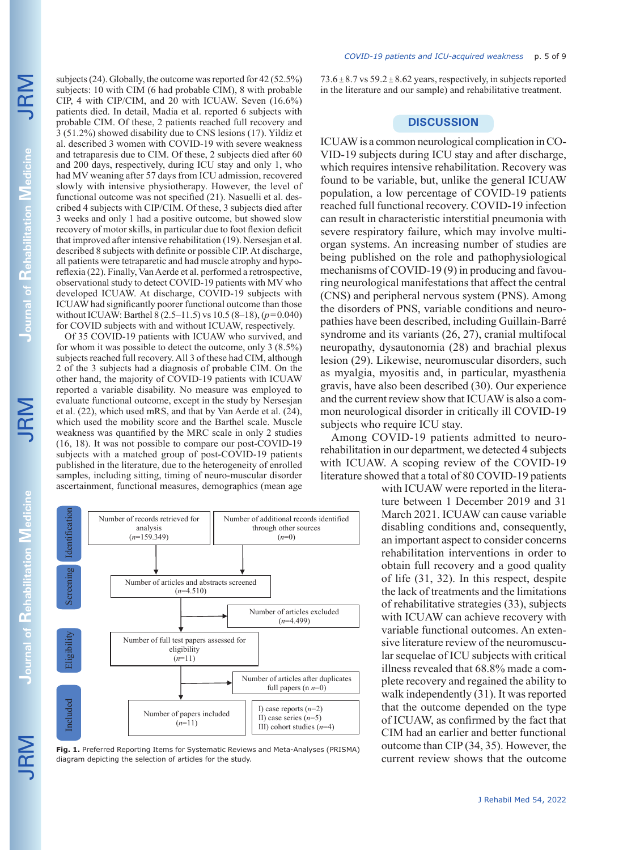JRM Journal of Rehabilitation Medicine JRM **Journal of Rehabilitation Journal of Rehabilitation Medicine** 

subjects (24). Globally, the outcome was reported for 42 (52.5%) subjects: 10 with CIM (6 had probable CIM), 8 with probable CIP, 4 with CIP/CIM, and 20 with ICUAW. Seven (16.6%) patients died. In detail, Madia et al. reported 6 subjects with probable CIM. Of these, 2 patients reached full recovery and 3 (51.2%) showed disability due to CNS lesions (17). Yildiz et al. described 3 women with COVID-19 with severe weakness and tetraparesis due to CIM. Of these, 2 subjects died after 60 and 200 days, respectively, during ICU stay and only 1, who had MV weaning after 57 days from ICU admission, recovered slowly with intensive physiotherapy. However, the level of functional outcome was not specified (21). Nasuelli et al. described 4 subjects with CIP/CIM. Of these, 3 subjects died after 3 weeks and only 1 had a positive outcome, but showed slow recovery of motor skills, in particular due to foot flexion deficit that improved after intensive rehabilitation (19). Nersesjan et al. described 8 subjects with definite or possible CIP. At discharge, all patients were tetraparetic and had muscle atrophy and hyporeflexia (22). Finally, Van Aerde et al. performed a retrospective, observational study to detect COVID-19 patients with MV who developed ICUAW. At discharge, COVID-19 subjects with ICUAW had significantly poorer functional outcome than those without ICUAW: Barthel 8 (2.5–11.5) vs 10.5 (8–18), (*p*=0.040) for COVID subjects with and without ICUAW, respectively.

Of 35 COVID-19 patients with ICUAW who survived, and for whom it was possible to detect the outcome, only 3 (8.5%) subjects reached full recovery. All 3 of these had CIM, although 2 of the 3 subjects had a diagnosis of probable CIM. On the other hand, the majority of COVID-19 patients with ICUAW reported a variable disability. No measure was employed to evaluate functional outcome, except in the study by Nersesjan et al. (22), which used mRS, and that by Van Aerde et al. (24), which used the mobility score and the Barthel scale. Muscle weakness was quantified by the MRC scale in only 2 studies (16, 18). It was not possible to compare our post-COVID-19 subjects with a matched group of post-COVID-19 patients published in the literature, due to the heterogeneity of enrolled samples, including sitting, timing of neuro-muscular disorder ascertainment, functional measures, demographics (mean age



JRM



**Fig. 1.** Preferred Reporting Items for Systematic Reviews and Meta-Analyses (PRISMA) diagram depicting the selection of articles for the study.

73.6  $\pm$  8.7 vs 59.2  $\pm$  8.62 years, respectively, in subjects reported in the literature and our sample) and rehabilitative treatment.

## **DISCUSSION**

ICUAW is a common neurological complication in CO-VID-19 subjects during ICU stay and after discharge, which requires intensive rehabilitation. Recovery was found to be variable, but, unlike the general ICUAW population, a low percentage of COVID-19 patients reached full functional recovery. COVID-19 infection can result in characteristic interstitial pneumonia with severe respiratory failure, which may involve multiorgan systems. An increasing number of studies are being published on the role and pathophysiological mechanisms of COVID-19 (9) in producing and favouring neurological manifestations that affect the central (CNS) and peripheral nervous system (PNS). Among the disorders of PNS, variable conditions and neuropathies have been described, including Guillain-Barré syndrome and its variants (26, 27), cranial multifocal neuropathy, dysautonomia (28) and brachial plexus lesion (29). Likewise, neuromuscular disorders, such as myalgia, myositis and, in particular, myasthenia gravis, have also been described (30). Our experience and the current review show that ICUAW is also a common neurological disorder in critically ill COVID-19 subjects who require ICU stay.

Among COVID-19 patients admitted to neurorehabilitation in our department, we detected 4 subjects with ICUAW. A scoping review of the COVID-19 literature showed that a total of 80 COVID-19 patients

with ICUAW were reported in the literature between 1 December 2019 and 31 March 2021. ICUAW can cause variable disabling conditions and, consequently, an important aspect to consider concerns rehabilitation interventions in order to obtain full recovery and a good quality of life (31, 32). In this respect, despite the lack of treatments and the limitations of rehabilitative strategies (33), subjects with ICUAW can achieve recovery with variable functional outcomes. An extensive literature review of the neuromuscular sequelae of ICU subjects with critical illness revealed that 68.8% made a complete recovery and regained the ability to walk independently (31). It was reported that the outcome depended on the type of ICUAW, as confirmed by the fact that CIM had an earlier and better functional outcome than CIP (34, 35). However, the current review shows that the outcome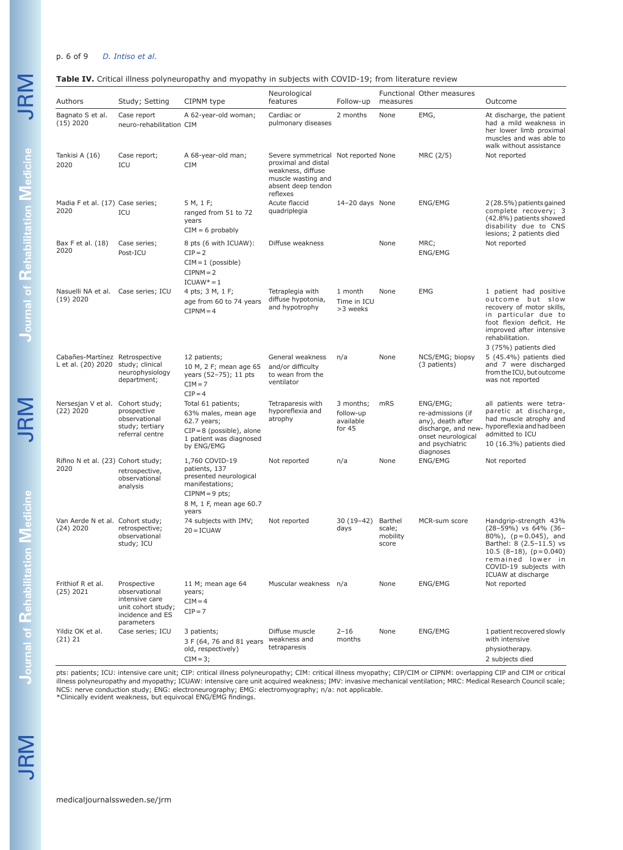### p. 6 of 9 *D. Intiso et al.*

#### **Table IV.** Critical illness polyneuropathy and myopathy in subjects with COVID-19; from literature review

| Authors                                                              | Study; Setting                                                                                         | CIPNM type                                                                                                                           | Neurological<br>features                                                                                                                 | Follow-up                                       | measures                               | Functional Other measures                                                                                | Outcome                                                                                                                                                                                                      |
|----------------------------------------------------------------------|--------------------------------------------------------------------------------------------------------|--------------------------------------------------------------------------------------------------------------------------------------|------------------------------------------------------------------------------------------------------------------------------------------|-------------------------------------------------|----------------------------------------|----------------------------------------------------------------------------------------------------------|--------------------------------------------------------------------------------------------------------------------------------------------------------------------------------------------------------------|
| Bagnato S et al.<br>$(15)$ 2020                                      | Case report<br>neuro-rehabilitation CIM                                                                | A 62-year-old woman;                                                                                                                 | Cardiac or<br>pulmonary diseases                                                                                                         | 2 months                                        | None                                   | EMG,                                                                                                     | At discharge, the patient<br>had a mild weakness in<br>her lower limb proximal<br>muscles and was able to<br>walk without assistance                                                                         |
| Tankisi A (16)<br>2020                                               | Case report;<br>ICU                                                                                    | A 68-year-old man;<br><b>CIM</b>                                                                                                     | Severe symmetrical Not reported None<br>proximal and distal<br>weakness, diffuse<br>muscle wasting and<br>absent deep tendon<br>reflexes |                                                 |                                        | MRC (2/5)                                                                                                | Not reported                                                                                                                                                                                                 |
| Madia F et al. (17) Case series;<br>2020                             | ICU                                                                                                    | 5 M, 1 F;<br>ranged from 51 to 72<br>years<br>$CIM = 6$ probably                                                                     | Acute flaccid<br>quadriplegia                                                                                                            | 14-20 days None                                 |                                        | ENG/EMG                                                                                                  | 2 (28.5%) patients gained<br>complete recovery; 3<br>(42.8%) patients showed<br>disability due to CNS<br>lesions; 2 patients died                                                                            |
| Bax F et al. (18)<br>2020                                            | Case series;<br>Post-ICU                                                                               | 8 pts (6 with ICUAW):<br>$CIP = 2$<br>$CIM = 1$ (possible)<br>$CIPNM = 2$<br>$ICUAW* = 1$                                            | Diffuse weakness                                                                                                                         |                                                 | None                                   | MRC;<br>ENG/EMG                                                                                          | Not reported                                                                                                                                                                                                 |
| Nasuelli NA et al. Case series; ICU<br>$(19)$ 2020                   |                                                                                                        | 4 pts; 3 M, 1 F;<br>age from 60 to 74 years<br>$CIPNM = 4$                                                                           | Tetraplegia with<br>diffuse hypotonia,<br>and hypotrophy                                                                                 | 1 month<br>Time in ICU<br>>3 weeks              | None                                   | EMG                                                                                                      | 1 patient had positive<br>outcome but slow<br>recovery of motor skills,<br>in particular due to<br>foot flexion deficit. He<br>improved after intensive<br>rehabilitation.<br>3 (75%) patients died          |
| Cabañes-Martínez Retrospective<br>L et al. (20) 2020 study; clinical | neurophysiology<br>department;                                                                         | 12 patients;<br>10 M, 2 F; mean age 65<br>years (52-75); 11 pts<br>$CIM = 7$<br>$CIP = 4$                                            | General weakness<br>and/or difficulty<br>to wean from the<br>ventilator                                                                  | n/a                                             | None                                   | NCS/EMG; biopsy<br>(3 patients)                                                                          | 5 (45.4%) patients died<br>and 7 were discharged<br>from the ICU, but outcome<br>was not reported                                                                                                            |
| Nersesjan V et al. Cohort study;<br>$(22)$ 2020                      | prospective<br>observational<br>study; tertiary<br>referral centre                                     | Total 61 patients;<br>63% males, mean age<br>62.7 years;<br>$CIP = 8$ (possible), alone<br>1 patient was diagnosed<br>by ENG/EMG     | Tetraparesis with<br>hyporeflexia and<br>atrophy                                                                                         | 3 months;<br>follow-up<br>available<br>for $45$ | mRS                                    | ENG/EMG;<br>re-admissions (if<br>any), death after<br>onset neurological<br>and psychiatric<br>diagnoses | all patients were tetra-<br>paretic at discharge,<br>had muscle atrophy and<br>discharge, and new- hyporeflexia and had been<br>admitted to ICU<br>10 (16.3%) patients died                                  |
| Rifino N et al. (23) Cohort study;<br>2020                           | retrospective,<br>observational<br>analysis                                                            | 1,760 COVID-19<br>patients, 137<br>presented neurological<br>manifestations;<br>$CIPNM = 9$ pts;<br>8 M, 1 F, mean age 60.7<br>years | Not reported                                                                                                                             | n/a                                             | None                                   | ENG/EMG                                                                                                  | Not reported                                                                                                                                                                                                 |
| Van Aerde N et al. Cohort study;<br>$(24)$ 2020                      | retrospective;<br>observational<br>study; ICU                                                          | 74 subjects with IMV;<br>$20 = ICUAW$                                                                                                | Not reported                                                                                                                             | $30(19-42)$<br>days                             | Barthel<br>scale;<br>mobility<br>score | MCR-sum score                                                                                            | Handgrip-strength 43%<br>$(28-59%)$ vs 64% (36-<br>80%), $(p = 0.045)$ , and<br>Barthel: 8 (2.5-11.5) vs<br>10.5 $(8-18)$ , $(p=0.040)$<br>remained lower in<br>COVID-19 subjects with<br>ICUAW at discharge |
| Frithiof R et al.<br>(25) 2021                                       | Prospective<br>observational<br>intensive care<br>unit cohort study;<br>incidence and ES<br>parameters | 11 M; mean age 64<br>years;<br>$CIM = 4$<br>$CIP = 7$                                                                                | Muscular weakness n/a                                                                                                                    |                                                 | None                                   | ENG/EMG                                                                                                  | Not reported                                                                                                                                                                                                 |
| Yildiz OK et al.<br>(21) 21                                          | Case series; ICU                                                                                       | 3 patients;<br>3 F (64, 76 and 81 years<br>old, respectively)<br>$CIM = 3;$                                                          | Diffuse muscle<br>weakness and<br>tetraparesis                                                                                           | $2 - 16$<br>months                              | None                                   | ENG/EMG                                                                                                  | 1 patient recovered slowly<br>with intensive<br>physiotherapy.<br>2 subjects died                                                                                                                            |

pts: patients; ICU: intensive care unit; CIP: critical illness polyneuropathy; CIM: critical illness myopathy; CIP/CIM or CIPNM: overlapping CIP and CIM or critical<br>illness polyneuropathy and myopathy; ICUAW: intensive car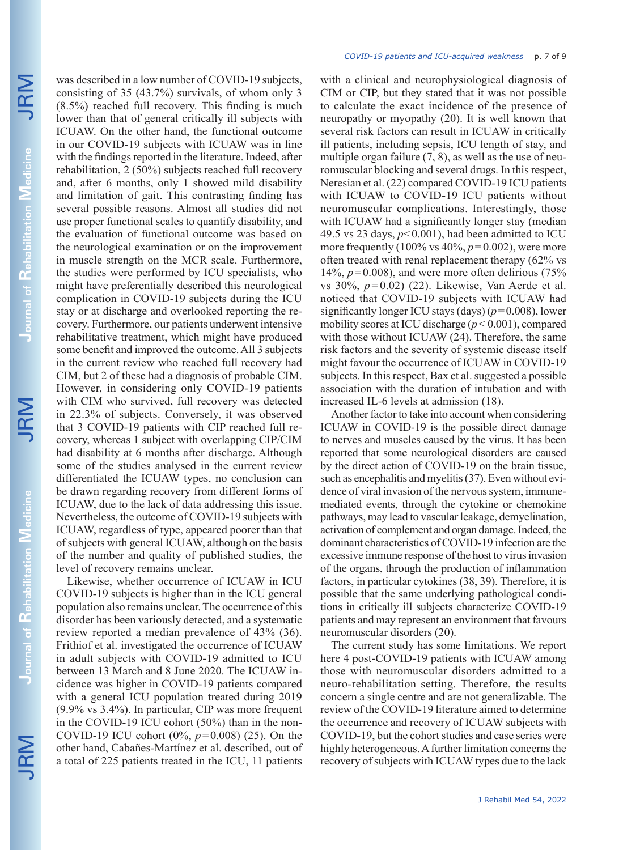JRM

was described in a low number of COVID-19 subjects, consisting of 35 (43.7%) survivals, of whom only 3 (8.5%) reached full recovery. This finding is much lower than that of general critically ill subjects with ICUAW. On the other hand, the functional outcome in our COVID-19 subjects with ICUAW was in line with the findings reported in the literature. Indeed, after rehabilitation, 2 (50%) subjects reached full recovery and, after 6 months, only 1 showed mild disability and limitation of gait. This contrasting finding has several possible reasons. Almost all studies did not use proper functional scales to quantify disability, and the evaluation of functional outcome was based on the neurological examination or on the improvement in muscle strength on the MCR scale. Furthermore, the studies were performed by ICU specialists, who might have preferentially described this neurological complication in COVID-19 subjects during the ICU stay or at discharge and overlooked reporting the recovery. Furthermore, our patients underwent intensive rehabilitative treatment, which might have produced some benefit and improved the outcome. All 3 subjects in the current review who reached full recovery had CIM, but 2 of these had a diagnosis of probable CIM. However, in considering only COVID-19 patients with CIM who survived, full recovery was detected in 22.3% of subjects. Conversely, it was observed that 3 COVID-19 patients with CIP reached full recovery, whereas 1 subject with overlapping CIP/CIM had disability at 6 months after discharge. Although some of the studies analysed in the current review differentiated the ICUAW types, no conclusion can be drawn regarding recovery from different forms of ICUAW, due to the lack of data addressing this issue. Nevertheless, the outcome of COVID-19 subjects with ICUAW, regardless of type, appeared poorer than that of subjects with general ICUAW, although on the basis of the number and quality of published studies, the level of recovery remains unclear.

Likewise, whether occurrence of ICUAW in ICU COVID-19 subjects is higher than in the ICU general population also remains unclear. The occurrence of this disorder has been variously detected, and a systematic review reported a median prevalence of 43% (36). Frithiof et al. investigated the occurrence of ICUAW in adult subjects with COVID-19 admitted to ICU between 13 March and 8 June 2020. The ICUAW incidence was higher in COVID-19 patients compared with a general ICU population treated during 2019 (9.9% vs 3.4%). In particular, CIP was more frequent in the COVID-19 ICU cohort (50%) than in the non-COVID-19 ICU cohort (0%, *p*=0.008) (25). On the other hand, Cabañes-Martínez et al. described, out of a total of 225 patients treated in the ICU, 11 patients with a clinical and neurophysiological diagnosis of CIM or CIP, but they stated that it was not possible to calculate the exact incidence of the presence of neuropathy or myopathy (20). It is well known that several risk factors can result in ICUAW in critically ill patients, including sepsis, ICU length of stay, and multiple organ failure  $(7, 8)$ , as well as the use of neuromuscular blocking and several drugs. In this respect, Neresian et al. (22) compared COVID-19 ICU patients with ICUAW to COVID-19 ICU patients without neuromuscular complications. Interestingly, those with ICUAW had a significantly longer stay (median 49.5 vs 23 days,  $p<0.001$ ), had been admitted to ICU more frequently  $(100\% \text{ vs } 40\%, p=0.002)$ , were more often treated with renal replacement therapy (62% vs  $14\%$ ,  $p=0.008$ ), and were more often delirious (75%) vs 30%, *p* = 0.02) (22). Likewise, Van Aerde et al. noticed that COVID-19 subjects with ICUAW had significantly longer ICU stays (days) (*p*=0.008), lower mobility scores at ICU discharge (*p*< 0.001), compared with those without ICUAW (24). Therefore, the same risk factors and the severity of systemic disease itself might favour the occurrence of ICUAW in COVID-19 subjects. In this respect, Bax et al. suggested a possible association with the duration of intubation and with increased IL-6 levels at admission (18).

Another factor to take into account when considering ICUAW in COVID-19 is the possible direct damage to nerves and muscles caused by the virus. It has been reported that some neurological disorders are caused by the direct action of COVID-19 on the brain tissue, such as encephalitis and myelitis (37). Even without evidence of viral invasion of the nervous system, immunemediated events, through the cytokine or chemokine pathways, may lead to vascular leakage, demyelination, activation of complement and organ damage. Indeed, the dominant characteristics of COVID-19 infection are the excessive immune response of the host to virus invasion of the organs, through the production of inflammation factors, in particular cytokines (38, 39). Therefore, it is possible that the same underlying pathological conditions in critically ill subjects characterize COVID-19 patients and may represent an environment that favours neuromuscular disorders (20).

The current study has some limitations. We report here 4 post-COVID-19 patients with ICUAW among those with neuromuscular disorders admitted to a neuro-rehabilitation setting. Therefore, the results concern a single centre and are not generalizable. The review of the COVID-19 literature aimed to determine the occurrence and recovery of ICUAW subjects with COVID-19, but the cohort studies and case series were highly heterogeneous. A further limitation concerns the recovery of subjects with ICUAW types due to the lack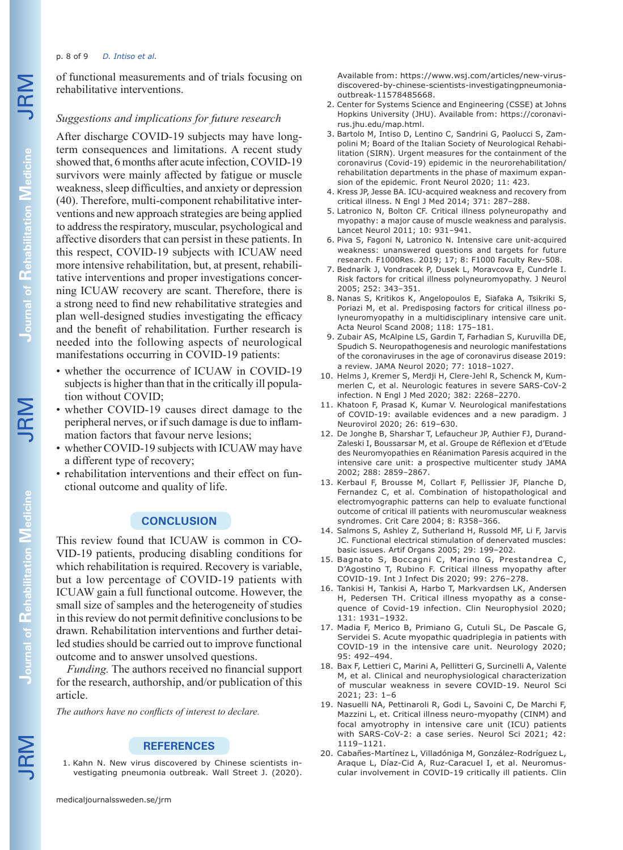#### p. 8 of 9 *D. Intiso et al.*

of functional measurements and of trials focusing on rehabilitative interventions.

#### *Suggestions and implications for future research*

After discharge COVID-19 subjects may have longterm consequences and limitations. A recent study showed that, 6 months after acute infection, COVID-19 survivors were mainly affected by fatigue or muscle weakness, sleep difficulties, and anxiety or depression (40). Therefore, multi-component rehabilitative interventions and new approach strategies are being applied to address the respiratory, muscular, psychological and affective disorders that can persist in these patients. In this respect, COVID-19 subjects with ICUAW need more intensive rehabilitation, but, at present, rehabilitative interventions and proper investigations concerning ICUAW recovery are scant. Therefore, there is a strong need to find new rehabilitative strategies and plan well-designed studies investigating the efficacy and the benefit of rehabilitation. Further research is needed into the following aspects of neurological manifestations occurring in COVID-19 patients:

- whether the occurrence of ICUAW in COVID-19 subjects is higher than that in the critically ill population without COVID;
- whether COVID-19 causes direct damage to the peripheral nerves, or if such damage is due to inflammation factors that favour nerve lesions;
- whether COVID-19 subjects with ICUAW may have a different type of recovery;
- rehabilitation interventions and their effect on functional outcome and quality of life.

## **CONCLUSION**

This review found that ICUAW is common in CO-VID-19 patients, producing disabling conditions for which rehabilitation is required. Recovery is variable, but a low percentage of COVID-19 patients with ICUAW gain a full functional outcome. However, the small size of samples and the heterogeneity of studies in this review do not permit definitive conclusions to be drawn. Rehabilitation interventions and further detailed studies should be carried out to improve functional outcome and to answer unsolved questions.

*Funding.* The authors received no financial support for the research, authorship, and/or publication of this article.

*The authors have no conflicts of interest to declare.*

#### **REFERENCES**

1. Kahn N. New virus discovered by Chinese scientists investigating pneumonia outbreak. Wall Street J. (2020).

Available from: https://www.wsj.com/articles/new-virusdiscovered-by-chinese-scientists-investigatingpneumoniaoutbreak-11578485668.

- 2. Center for Systems Science and Engineering (CSSE) at Johns Hopkins University (JHU). Available from: https://coronavirus.jhu.edu/map.html.
- 3. Bartolo M, Intiso D, Lentino C, Sandrini G, Paolucci S, Zampolini M; Board of the Italian Society of Neurological Rehabilitation (SIRN). Urgent measures for the containment of the coronavirus (Covid-19) epidemic in the neurorehabilitation/ rehabilitation departments in the phase of maximum expansion of the epidemic. Front Neurol 2020; 11: 423.
- 4. Kress JP, Jesse BA. ICU-acquired weakness and recovery from critical illness. N Engl J Med 2014; 371: 287–288.
- 5. Latronico N, Bolton CF. Critical illness polyneuropathy and myopathy: a major cause of muscle weakness and paralysis. Lancet Neurol 2011; 10: 931–941.
- 6. Piva S, Fagoni N, Latronico N. Intensive care unit-acquired weakness: unanswered questions and targets for future research. F1000Res. 2019; 17; 8: F1000 Faculty Rev-508.
- 7. Bednarík J, Vondracek P, Dusek L, Moravcova E, Cundrle I. Risk factors for critical illness polyneuromyopathy. J Neurol 2005; 252: 343–351.
- 8. Nanas S, Kritikos K, Angelopoulos E, Siafaka A, Tsikriki S, Poriazi M, et al. Predisposing factors for critical illness polyneuromyopathy in a multidisciplinary intensive care unit. Acta Neurol Scand 2008; 118: 175–181.
- 9. Zubair AS, McAlpine LS, Gardin T, Farhadian S, Kuruvilla DE, Spudich S. Neuropathogenesis and neurologic manifestations of the coronaviruses in the age of coronavirus disease 2019: a review. JAMA Neurol 2020; 77: 1018–1027.
- 10. Helms J, Kremer S, Merdji H, Clere-Jehl R, Schenck M, Kummerlen C, et al. Neurologic features in severe SARS-CoV-2 infection. N Engl J Med 2020; 382: 2268–2270.
- 11. Khatoon F, Prasad K, Kumar V. Neurological manifestations of COVID-19: available evidences and a new paradigm. J Neurovirol 2020; 26: 619–630.
- 12. De Jonghe B, Sharshar T, Lefaucheur JP, Authier FJ, Durand-Zaleski I, Boussarsar M, et al. Groupe de Réflexion et d'Etude des Neuromyopathies en Réanimation Paresis acquired in the intensive care unit: a prospective multicenter study JAMA 2002; 288: 2859–2867.
- 13. Kerbaul F, Brousse M, Collart F, Pellissier JF, Planche D, Fernandez C, et al. Combination of histopathological and electromyographic patterns can help to evaluate functional outcome of critical ill patients with neuromuscular weakness syndromes. Crit Care 2004; 8: R358–366.
- 14. Salmons S, Ashley Z, Sutherland H, Russold MF, Li F, Jarvis JC. Functional electrical stimulation of denervated muscles: basic issues. Artif Organs 2005; 29: 199–202.
- 15. Bagnato S, Boccagni C, Marino G, Prestandrea C, D'Agostino T, Rubino F. Critical illness myopathy after COVID-19. Int J Infect Dis 2020; 99: 276–278.
- 16. Tankisi H, Tankisi A, Harbo T, Markvardsen LK, Andersen H, Pedersen TH. Critical illness myopathy as a consequence of Covid-19 infection. Clin Neurophysiol 2020; 131: 1931–1932.
- 17. Madia F, Merico B, Primiano G, Cutuli SL, De Pascale G, Servidei S. Acute myopathic quadriplegia in patients with COVID-19 in the intensive care unit. Neurology 2020; 95: 492–494.
- 18. Bax F, Lettieri C, Marini A, Pellitteri G, Surcinelli A, Valente M, et al. Clinical and neurophysiological characterization of muscular weakness in severe COVID-19. Neurol Sci 2021; 23: 1–6
- 19. Nasuelli NA, Pettinaroli R, Godi L, Savoini C, De Marchi F, Mazzini L, et. Critical illness neuro-myopathy (CINM) and focal amyotrophy in intensive care unit (ICU) patients with SARS-CoV-2: a case series. Neurol Sci 2021; 42: 1119–1121.
- 20. Cabañes-Martínez L, Villadóniga M, González-Rodríguez L, Araque L, Díaz-Cid A, Ruz-Caracuel I, et al. Neuromuscular involvement in COVID-19 critically ill patients. Clin

JRM

**Journal of** 

**Rehabilitation Journal of Rehabilitation Medicine**